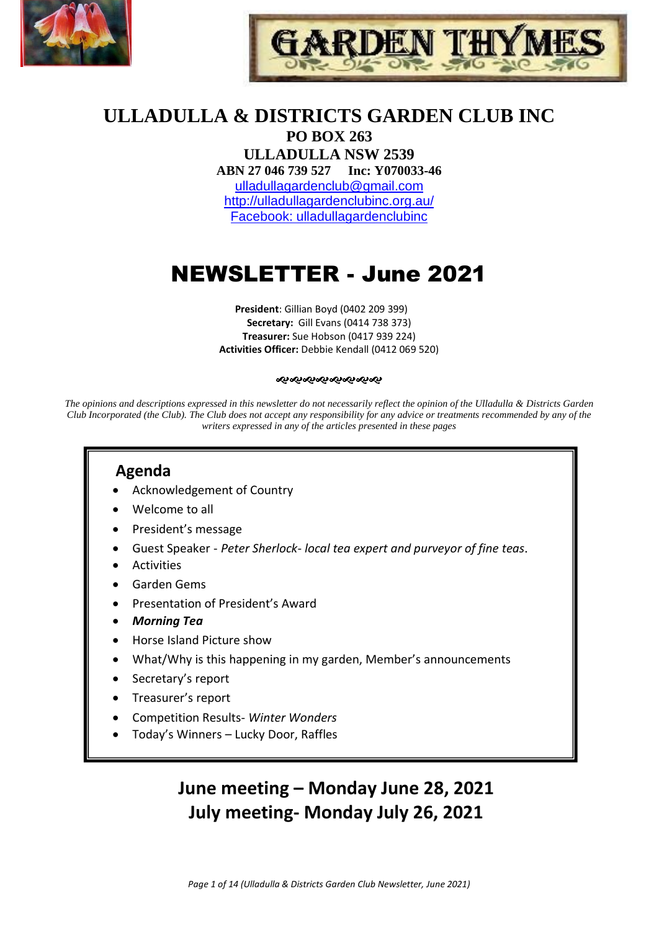



# **ULLADULLA & DISTRICTS GARDEN CLUB INC**

**PO BOX 263 ULLADULLA NSW 2539 ABN 27 046 739 527 Inc: Y070033-46**  [ulladullagardenclub@gmail.com](mailto:ulladullagardenclub@gmail.com) <http://ulladullagardenclubinc.org.au/> Facebook: ulladullagardenclubinc

# NEWSLETTER - June 2021

**President**: Gillian Boyd (0402 209 399) **Secretary:** Gill Evans (0414 738 373) **Treasurer:** Sue Hobson (0417 939 224) **Activities Officer:** Debbie Kendall (0412 069 520)

#### જાજાજાજાજાજાજાજ

*The opinions and descriptions expressed in this newsletter do not necessarily reflect the opinion of the Ulladulla & Districts Garden Club Incorporated (the Club). The Club does not accept any responsibility for any advice or treatments recommended by any of the writers expressed in any of the articles presented in these pages*

## **Agenda**

- Acknowledgement of Country
- Welcome to all
- President's message
- Guest Speaker *Peter Sherlock- local tea expert and purveyor of fine teas.*
- **Activities**
- Garden Gems
- Presentation of President's Award
- *Morning Tea*
- Horse Island Picture show
- What/Why is this happening in my garden, Member's announcements
- Secretary's report
- Treasurer's report
- Competition Results- *Winter Wonders*
- Today's Winners Lucky Door, Raffles

# **June meeting – Monday June 28, 2021 July meeting- Monday July 26, 2021**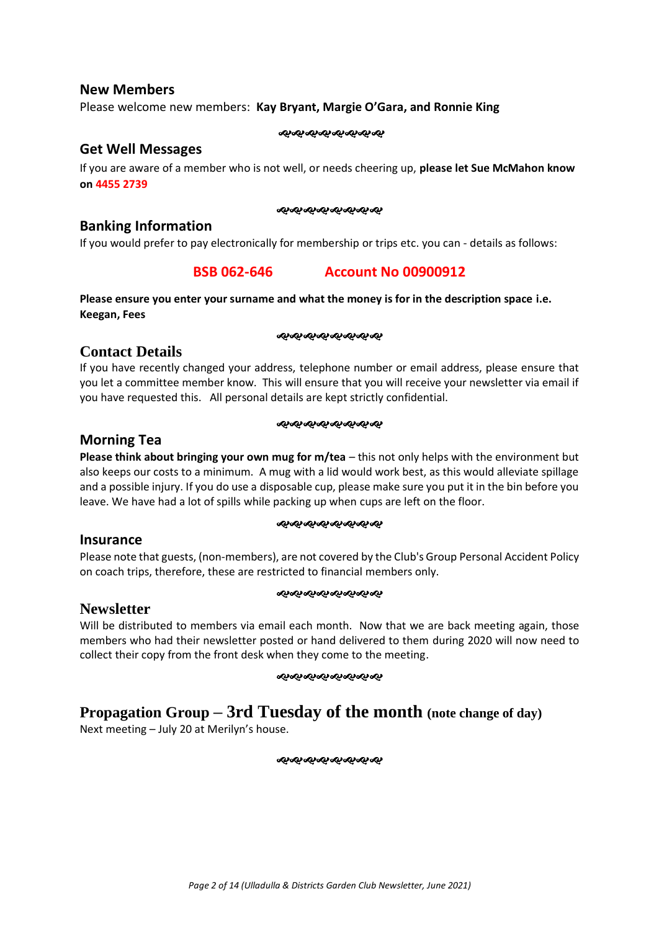### **New Members**

Please welcome new members: **Kay Bryant, Margie O'Gara, and Ronnie King**

જાજાજાજાજાજાજાજા

### **Get Well Messages**

If you are aware of a member who is not well, or needs cheering up, **please let Sue McMahon know on 4455 2739**

#### જાજાજાજાજાજાજાજા

### **Banking Information**

If you would prefer to pay electronically for membership or trips etc. you can - details as follows:

## **BSB 062-646 Account No 00900912**

#### **Please ensure you enter your surname and what the money is for in the description space i.e. Keegan, Fees**

#### ೲೲೲೲೲೲೲೲ

### **Contact Details**

If you have recently changed your address, telephone number or email address, please ensure that you let a committee member know. This will ensure that you will receive your newsletter via email if you have requested this. All personal details are kept strictly confidential.

#### જાજાજાજાજાજાજાજ

### **Morning Tea**

**Please think about bringing your own mug for m/tea** – this not only helps with the environment but also keeps our costs to a minimum. A mug with a lid would work best, as this would alleviate spillage and a possible injury. If you do use a disposable cup, please make sure you put it in the bin before you leave. We have had a lot of spills while packing up when cups are left on the floor.

#### ઌ૰ઌઌઌઌઌઌઌઌ

### **Insurance**

Please note that guests, (non-members), are not covered by the Club's Group Personal Accident Policy on coach trips, therefore, these are restricted to financial members only.

#### જાજાજાજાજાજાજાજા

### **Newsletter**

Will be distributed to members via email each month. Now that we are back meeting again, those members who had their newsletter posted or hand delivered to them during 2020 will now need to collect their copy from the front desk when they come to the meeting.

#### ઌ૰ઌ૰ઌ૰ઌ૰ઌ૰ઌ૰ઌ

## **Propagation Group – 3rd Tuesday of the month (note change of day)**

Next meeting – July 20 at Merilyn's house.

ઌ૰ઌ૰ઌ૰ઌ૰ઌ૰ઌ૰ઌ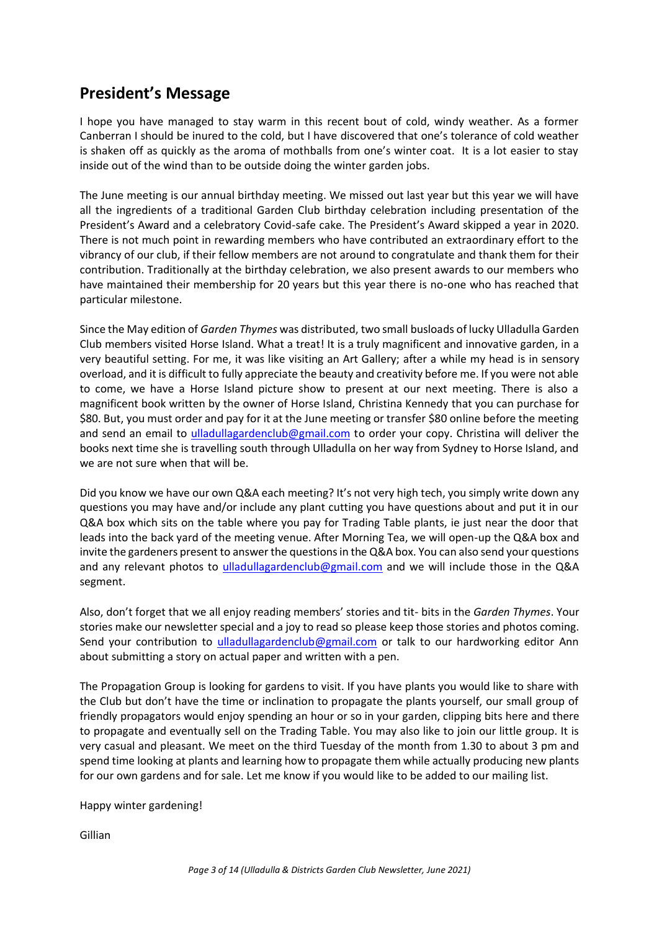## **President's Message**

I hope you have managed to stay warm in this recent bout of cold, windy weather. As a former Canberran I should be inured to the cold, but I have discovered that one's tolerance of cold weather is shaken off as quickly as the aroma of mothballs from one's winter coat. It is a lot easier to stay inside out of the wind than to be outside doing the winter garden jobs.

The June meeting is our annual birthday meeting. We missed out last year but this year we will have all the ingredients of a traditional Garden Club birthday celebration including presentation of the President's Award and a celebratory Covid-safe cake. The President's Award skipped a year in 2020. There is not much point in rewarding members who have contributed an extraordinary effort to the vibrancy of our club, if their fellow members are not around to congratulate and thank them for their contribution. Traditionally at the birthday celebration, we also present awards to our members who have maintained their membership for 20 years but this year there is no-one who has reached that particular milestone.

Since the May edition of *Garden Thymes* was distributed, two small busloads of lucky Ulladulla Garden Club members visited Horse Island. What a treat! It is a truly magnificent and innovative garden, in a very beautiful setting. For me, it was like visiting an Art Gallery; after a while my head is in sensory overload, and it is difficult to fully appreciate the beauty and creativity before me. If you were not able to come, we have a Horse Island picture show to present at our next meeting. There is also a magnificent book written by the owner of Horse Island, Christina Kennedy that you can purchase for \$80. But, you must order and pay for it at the June meeting or transfer \$80 online before the meeting and send an email to [ulladullagardenclub@gmail.com](mailto:ulladullagardenclub@gmail.com) to order your copy. Christina will deliver the books next time she is travelling south through Ulladulla on her way from Sydney to Horse Island, and we are not sure when that will be.

Did you know we have our own Q&A each meeting? It's not very high tech, you simply write down any questions you may have and/or include any plant cutting you have questions about and put it in our Q&A box which sits on the table where you pay for Trading Table plants, ie just near the door that leads into the back yard of the meeting venue. After Morning Tea, we will open-up the Q&A box and invite the gardeners present to answer the questions in the Q&A box. You can also send your questions and any relevant photos to [ulladullagardenclub@gmail.com](mailto:ulladullagardenclub@gmail.com) and we will include those in the Q&A segment.

Also, don't forget that we all enjoy reading members' stories and tit- bits in the *Garden Thymes*. Your stories make our newsletter special and a joy to read so please keep those stories and photos coming. Send your contribution to [ulladullagardenclub@gmail.com](mailto:ulladullagardenclub@gmail.com) or talk to our hardworking editor Ann about submitting a story on actual paper and written with a pen.

The Propagation Group is looking for gardens to visit. If you have plants you would like to share with the Club but don't have the time or inclination to propagate the plants yourself, our small group of friendly propagators would enjoy spending an hour or so in your garden, clipping bits here and there to propagate and eventually sell on the Trading Table. You may also like to join our little group. It is very casual and pleasant. We meet on the third Tuesday of the month from 1.30 to about 3 pm and spend time looking at plants and learning how to propagate them while actually producing new plants for our own gardens and for sale. Let me know if you would like to be added to our mailing list.

Happy winter gardening!

Gillian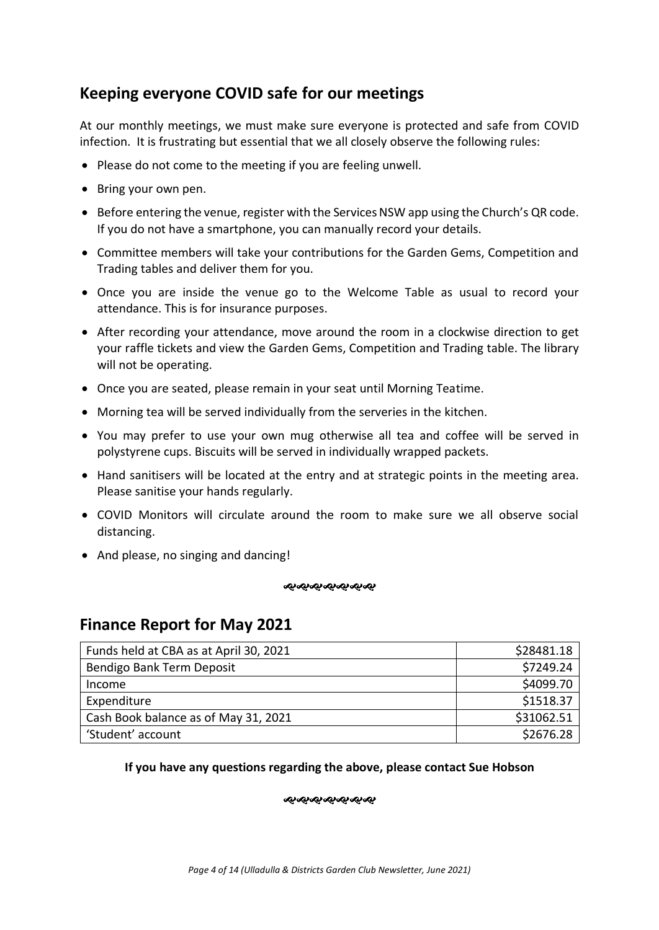## **Keeping everyone COVID safe for our meetings**

At our monthly meetings, we must make sure everyone is protected and safe from COVID infection. It is frustrating but essential that we all closely observe the following rules:

- Please do not come to the meeting if you are feeling unwell.
- Bring your own pen.
- Before entering the venue, register with the Services NSW app using the Church's QR code. If you do not have a smartphone, you can manually record your details.
- Committee members will take your contributions for the Garden Gems, Competition and Trading tables and deliver them for you.
- Once you are inside the venue go to the Welcome Table as usual to record your attendance. This is for insurance purposes.
- After recording your attendance, move around the room in a clockwise direction to get your raffle tickets and view the Garden Gems, Competition and Trading table. The library will not be operating.
- Once you are seated, please remain in your seat until Morning Teatime.
- Morning tea will be served individually from the serveries in the kitchen.
- You may prefer to use your own mug otherwise all tea and coffee will be served in polystyrene cups. Biscuits will be served in individually wrapped packets.
- Hand sanitisers will be located at the entry and at strategic points in the meeting area. Please sanitise your hands regularly.
- COVID Monitors will circulate around the room to make sure we all observe social distancing.
- And please, no singing and dancing!

ઌ૰ઌ૰ઌ૰ઌ૰ઌ૰ઌ

## **Finance Report for May 2021**

| Funds held at CBA as at April 30, 2021 | \$28481.18 |
|----------------------------------------|------------|
| Bendigo Bank Term Deposit              | \$7249.24  |
| Income                                 | \$4099.70  |
| Expenditure                            | \$1518.37  |
| Cash Book balance as of May 31, 2021   | \$31062.51 |
| 'Student' account                      | \$2676.28  |

### **If you have any questions regarding the above, please contact Sue Hobson**

ೲೲೲೲೲೲೲ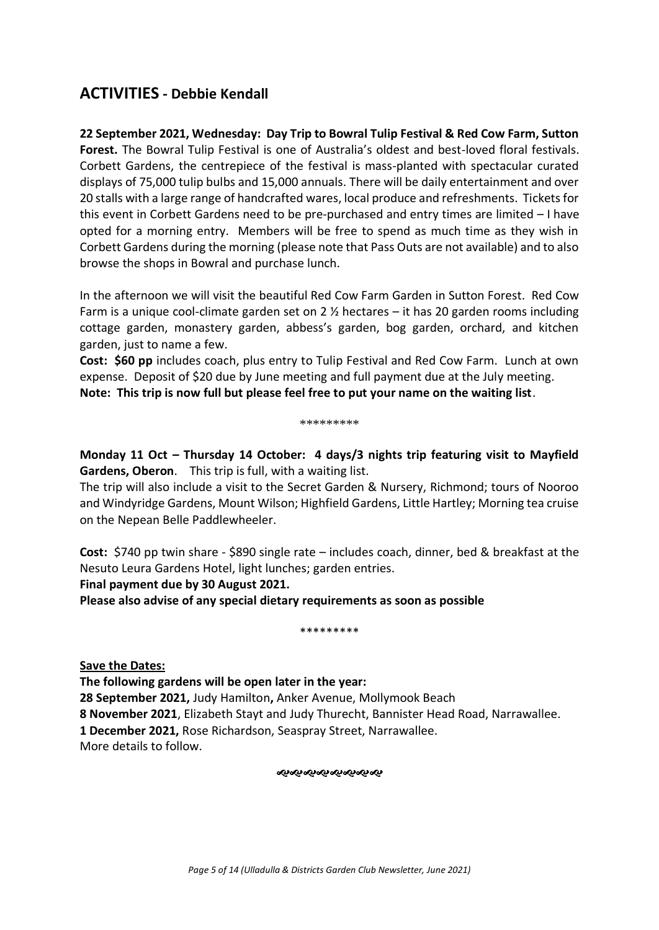## **ACTIVITIES - Debbie Kendall**

**22 September 2021, Wednesday: Day Trip to Bowral Tulip Festival & Red Cow Farm, Sutton Forest.** The Bowral Tulip Festival is one of Australia's oldest and best-loved floral festivals. Corbett Gardens, the centrepiece of the festival is mass-planted with spectacular curated displays of 75,000 tulip bulbs and 15,000 annuals. There will be daily entertainment and over 20 stalls with a large range of handcrafted wares, local produce and refreshments. Tickets for this event in Corbett Gardens need to be pre-purchased and entry times are limited – I have opted for a morning entry. Members will be free to spend as much time as they wish in Corbett Gardens during the morning (please note that Pass Outs are not available) and to also browse the shops in Bowral and purchase lunch.

In the afternoon we will visit the beautiful Red Cow Farm Garden in Sutton Forest. Red Cow Farm is a unique cool-climate garden set on 2 ½ hectares – it has 20 garden rooms including cottage garden, monastery garden, abbess's garden, bog garden, orchard, and kitchen garden, just to name a few.

**Cost: \$60 pp** includes coach, plus entry to Tulip Festival and Red Cow Farm. Lunch at own expense. Deposit of \$20 due by June meeting and full payment due at the July meeting. **Note: This trip is now full but please feel free to put your name on the waiting list**.

\*\*\*\*\*\*\*\*\*

**Monday 11 Oct – Thursday 14 October: 4 days/3 nights trip featuring visit to Mayfield Gardens, Oberon**. This trip is full, with a waiting list.

The trip will also include a visit to the Secret Garden & Nursery, Richmond; tours of Nooroo and Windyridge Gardens, Mount Wilson; Highfield Gardens, Little Hartley; Morning tea cruise on the Nepean Belle Paddlewheeler.

**Cost:** \$740 pp twin share - \$890 single rate – includes coach, dinner, bed & breakfast at the Nesuto Leura Gardens Hotel, light lunches; garden entries.

**Final payment due by 30 August 2021.** 

**Please also advise of any special dietary requirements as soon as possible**

#### \*\*\*\*\*\*\*\*\*

**Save the Dates:** 

**The following gardens will be open later in the year:**

**28 September 2021,** Judy Hamilton**,** Anker Avenue, Mollymook Beach **8 November 2021**, Elizabeth Stayt and Judy Thurecht, Bannister Head Road, Narrawallee. **1 December 2021,** Rose Richardson, Seaspray Street, Narrawallee. More details to follow.

#### ઌઌઌઌઌઌઌઌઌઌઌઌ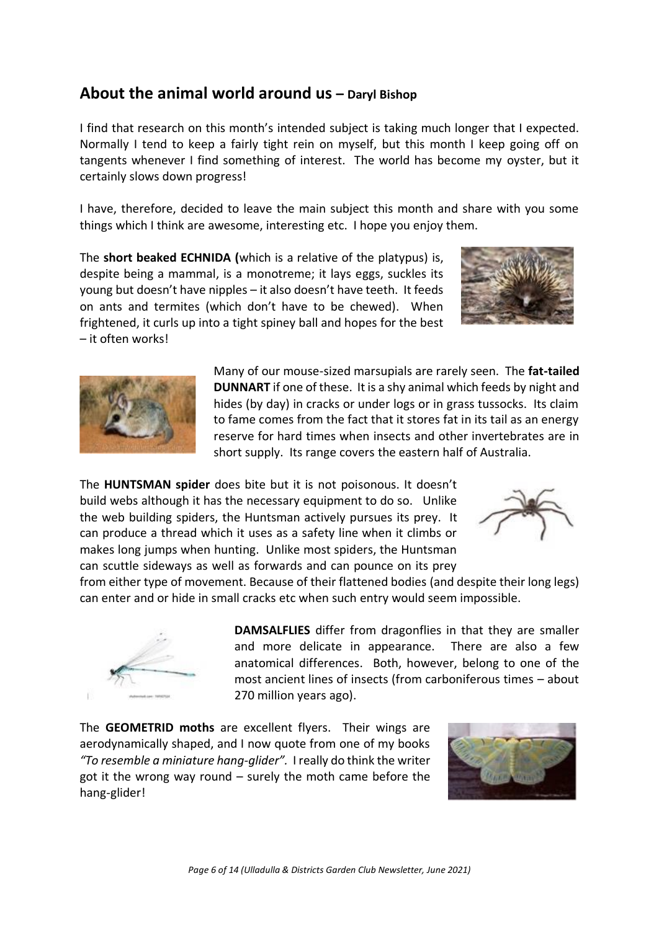## **About the animal world around us – Daryl Bishop**

I find that research on this month's intended subject is taking much longer that I expected. Normally I tend to keep a fairly tight rein on myself, but this month I keep going off on tangents whenever I find something of interest. The world has become my oyster, but it certainly slows down progress!

I have, therefore, decided to leave the main subject this month and share with you some things which I think are awesome, interesting etc. I hope you enjoy them.

The **short beaked ECHNIDA (**which is a relative of the platypus) is, despite being a mammal, is a monotreme; it lays eggs, suckles its young but doesn't have nipples – it also doesn't have teeth. It feeds on ants and termites (which don't have to be chewed). When frightened, it curls up into a tight spiney ball and hopes for the best – it often works!

> Many of our mouse-sized marsupials are rarely seen. The **fat-tailed DUNNART** if one of these. It is a shy animal which feeds by night and hides (by day) in cracks or under logs or in grass tussocks. Its claim to fame comes from the fact that it stores fat in its tail as an energy reserve for hard times when insects and other invertebrates are in short supply. Its range covers the eastern half of Australia.

The **HUNTSMAN spider** does bite but it is not poisonous. It doesn't build webs although it has the necessary equipment to do so. Unlike the web building spiders, the Huntsman actively pursues its prey. It can produce a thread which it uses as a safety line when it climbs or makes long jumps when hunting. Unlike most spiders, the Huntsman can scuttle sideways as well as forwards and can pounce on its prey

from either type of movement. Because of their flattened bodies (and despite their long legs) can enter and or hide in small cracks etc when such entry would seem impossible.

> **DAMSALFLIES** differ from dragonflies in that they are smaller and more delicate in appearance. There are also a few anatomical differences. Both, however, belong to one of the most ancient lines of insects (from carboniferous times – about 270 million years ago).

The **GEOMETRID moths** are excellent flyers. Their wings are aerodynamically shaped, and I now quote from one of my books *"To resemble a miniature hang-glider".* I really do think the writer got it the wrong way round – surely the moth came before the hang-glider!

*Page 6 of 14 (Ulladulla & Districts Garden Club Newsletter, June 2021)*









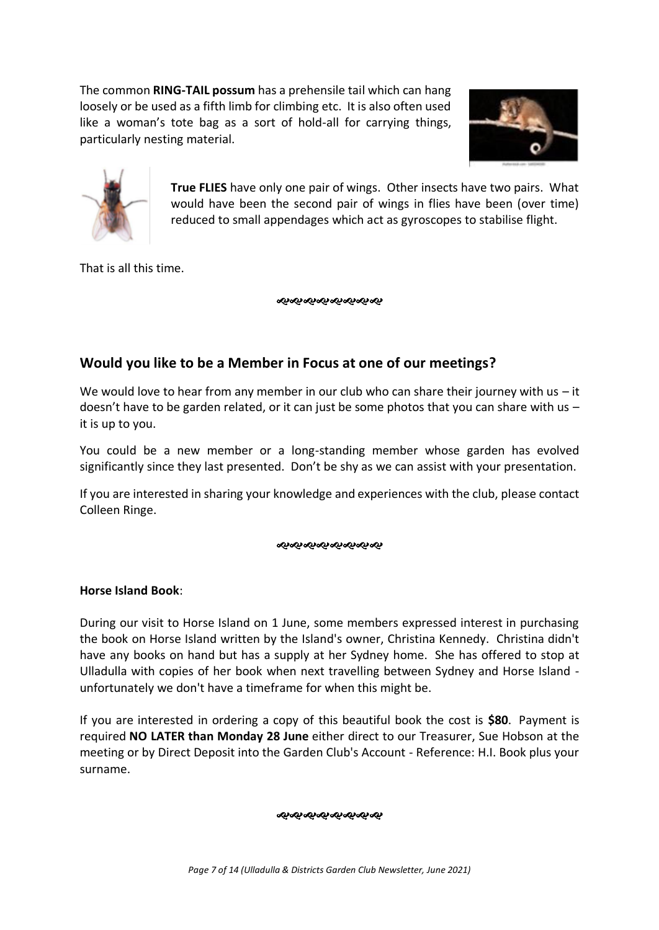The common **RING-TAIL possum** has a prehensile tail which can hang loosely or be used as a fifth limb for climbing etc. It is also often used like a woman's tote bag as a sort of hold-all for carrying things, particularly nesting material.





**True FLIES** have only one pair of wings. Other insects have two pairs. What would have been the second pair of wings in flies have been (over time) reduced to small appendages which act as gyroscopes to stabilise flight.

That is all this time.

ઌ૰ઌઌઌઌઌઌઌ

## **Would you like to be a Member in Focus at one of our meetings?**

We would love to hear from any member in our club who can share their journey with us  $-$  it doesn't have to be garden related, or it can just be some photos that you can share with us – it is up to you.

You could be a new member or a long-standing member whose garden has evolved significantly since they last presented. Don't be shy as we can assist with your presentation.

If you are interested in sharing your knowledge and experiences with the club, please contact Colleen Ringe.

### ઌ૰ૡ૰ૡ૰ૡ૰ૡ૰ૡ૰ૡ

**Horse Island Book**:

During our visit to Horse Island on 1 June, some members expressed interest in purchasing the book on Horse Island written by the Island's owner, Christina Kennedy. Christina didn't have any books on hand but has a supply at her Sydney home. She has offered to stop at Ulladulla with copies of her book when next travelling between Sydney and Horse Island unfortunately we don't have a timeframe for when this might be.

If you are interested in ordering a copy of this beautiful book the cost is **\$80**. Payment is required **NO LATER than Monday 28 June** either direct to our Treasurer, Sue Hobson at the meeting or by Direct Deposit into the Garden Club's Account - Reference: H.I. Book plus your surname.

જાજાજાજાજાજાજાજા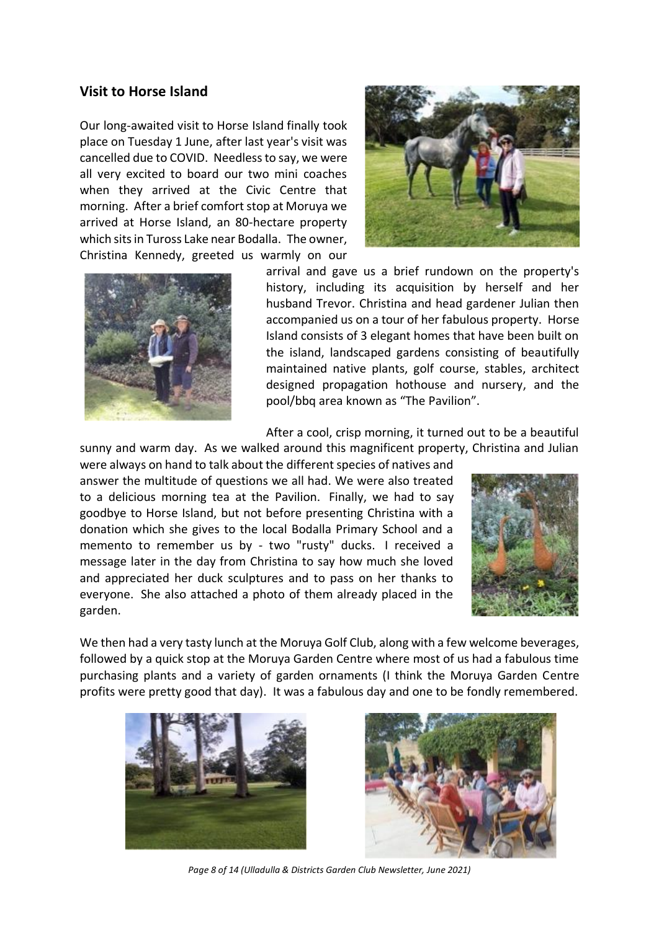### **Visit to Horse Island**

Our long-awaited visit to Horse Island finally took place on Tuesday 1 June, after last year's visit was cancelled due to COVID. Needless to say, we were all very excited to board our two mini coaches when they arrived at the Civic Centre that morning. After a brief comfort stop at Moruya we arrived at Horse Island, an 80-hectare property which sits in Tuross Lake near Bodalla. The owner, Christina Kennedy, greeted us warmly on our





arrival and gave us a brief rundown on the property's history, including its acquisition by herself and her husband Trevor. Christina and head gardener Julian then accompanied us on a tour of her fabulous property. Horse Island consists of 3 elegant homes that have been built on the island, landscaped gardens consisting of beautifully maintained native plants, golf course, stables, architect designed propagation hothouse and nursery, and the pool/bbq area known as "The Pavilion".

After a cool, crisp morning, it turned out to be a beautiful

sunny and warm day. As we walked around this magnificent property, Christina and Julian were always on hand to talk about the different species of natives and answer the multitude of questions we all had. We were also treated to a delicious morning tea at the Pavilion. Finally, we had to say goodbye to Horse Island, but not before presenting Christina with a donation which she gives to the local Bodalla Primary School and a memento to remember us by - two "rusty" ducks. I received a message later in the day from Christina to say how much she loved and appreciated her duck sculptures and to pass on her thanks to everyone. She also attached a photo of them already placed in the garden.



We then had a very tasty lunch at the Moruya Golf Club, along with a few welcome beverages, followed by a quick stop at the Moruya Garden Centre where most of us had a fabulous time purchasing plants and a variety of garden ornaments (I think the Moruya Garden Centre profits were pretty good that day). It was a fabulous day and one to be fondly remembered.





*Page 8 of 14 (Ulladulla & Districts Garden Club Newsletter, June 2021)*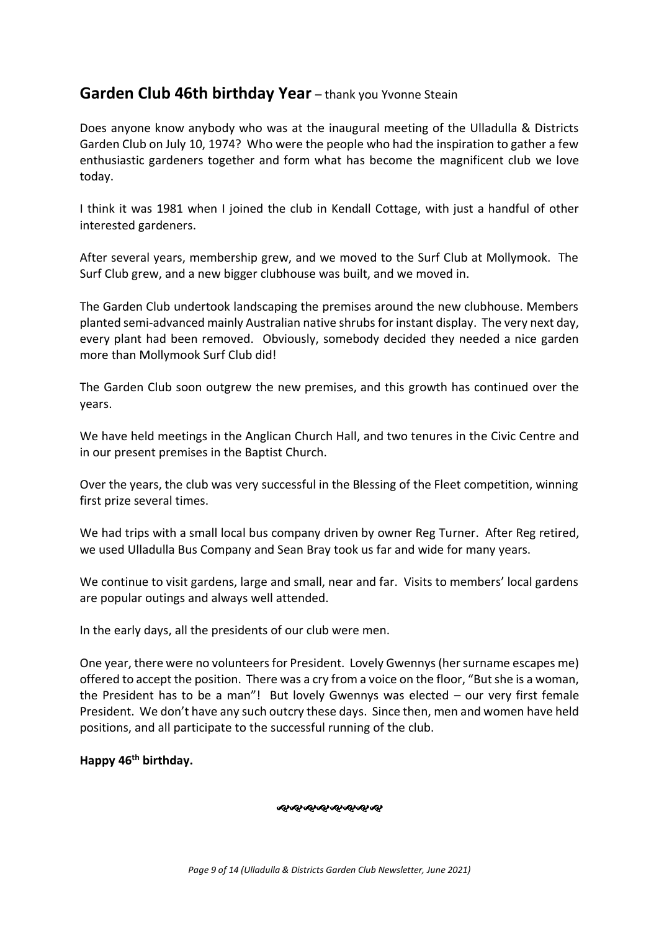## **Garden Club 46th birthday Year** – thank you Yvonne Steain

Does anyone know anybody who was at the inaugural meeting of the Ulladulla & Districts Garden Club on July 10, 1974? Who were the people who had the inspiration to gather a few enthusiastic gardeners together and form what has become the magnificent club we love today.

I think it was 1981 when I joined the club in Kendall Cottage, with just a handful of other interested gardeners.

After several years, membership grew, and we moved to the Surf Club at Mollymook. The Surf Club grew, and a new bigger clubhouse was built, and we moved in.

The Garden Club undertook landscaping the premises around the new clubhouse. Members planted semi-advanced mainly Australian native shrubs for instant display. The very next day, every plant had been removed. Obviously, somebody decided they needed a nice garden more than Mollymook Surf Club did!

The Garden Club soon outgrew the new premises, and this growth has continued over the years.

We have held meetings in the Anglican Church Hall, and two tenures in the Civic Centre and in our present premises in the Baptist Church.

Over the years, the club was very successful in the Blessing of the Fleet competition, winning first prize several times.

We had trips with a small local bus company driven by owner Reg Turner. After Reg retired, we used Ulladulla Bus Company and Sean Bray took us far and wide for many years.

We continue to visit gardens, large and small, near and far. Visits to members' local gardens are popular outings and always well attended.

In the early days, all the presidents of our club were men.

One year, there were no volunteers for President. Lovely Gwennys (her surname escapes me) offered to accept the position. There was a cry from a voice on the floor, "But she is a woman, the President has to be a man"! But lovely Gwennys was elected – our very first female President. We don't have any such outcry these days. Since then, men and women have held positions, and all participate to the successful running of the club.

## **Happy 46th birthday.**

ઌ૱ઌ૰ઌ૰ઌ૰ઌ૰ઌ૰ઌ૰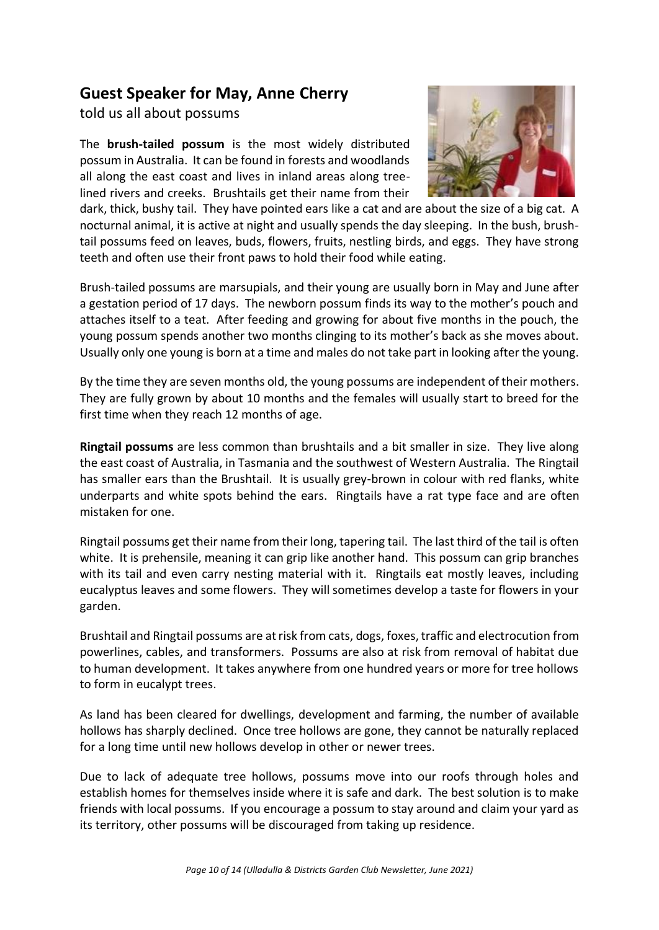## **Guest Speaker for May, Anne Cherry**

told us all about possums

The **brush-tailed possum** is the most widely distributed possum in Australia. It can be found in forests and woodlands all along the east coast and lives in inland areas along treelined rivers and creeks. Brushtails get their name from their



dark, thick, bushy tail. They have pointed ears like a cat and are about the size of a big cat. A nocturnal animal, it is active at night and usually spends the day sleeping. In the bush, brushtail possums feed on leaves, buds, flowers, fruits, nestling birds, and eggs. They have strong teeth and often use their front paws to hold their food while eating.

Brush-tailed possums are marsupials, and their young are usually born in May and June after a gestation period of 17 days. The newborn possum finds its way to the mother's pouch and attaches itself to a teat. After feeding and growing for about five months in the pouch, the young possum spends another two months clinging to its mother's back as she moves about. Usually only one young is born at a time and males do not take part in looking after the young.

By the time they are seven months old, the young possums are independent of their mothers. They are fully grown by about 10 months and the females will usually start to breed for the first time when they reach 12 months of age.

**Ringtail possums** are less common than brushtails and a bit smaller in size. They live along the east coast of Australia, in Tasmania and the southwest of Western Australia. The Ringtail has smaller ears than the Brushtail. It is usually grey-brown in colour with red flanks, white underparts and white spots behind the ears. Ringtails have a rat type face and are often mistaken for one.

Ringtail possums get their name from their long, tapering tail. The last third of the tail is often white. It is prehensile, meaning it can grip like another hand. This possum can grip branches with its tail and even carry nesting material with it. Ringtails eat mostly leaves, including eucalyptus leaves and some flowers. They will sometimes develop a taste for flowers in your garden.

Brushtail and Ringtail possums are at risk from cats, dogs, foxes, traffic and electrocution from powerlines, cables, and transformers. Possums are also at risk from removal of habitat due to human development. It takes anywhere from one hundred years or more for tree hollows to form in eucalypt trees.

As land has been cleared for dwellings, development and farming, the number of available hollows has sharply declined. Once tree hollows are gone, they cannot be naturally replaced for a long time until new hollows develop in other or newer trees.

Due to lack of adequate tree hollows, possums move into our roofs through holes and establish homes for themselves inside where it is safe and dark. The best solution is to make friends with local possums. If you encourage a possum to stay around and claim your yard as its territory, other possums will be discouraged from taking up residence.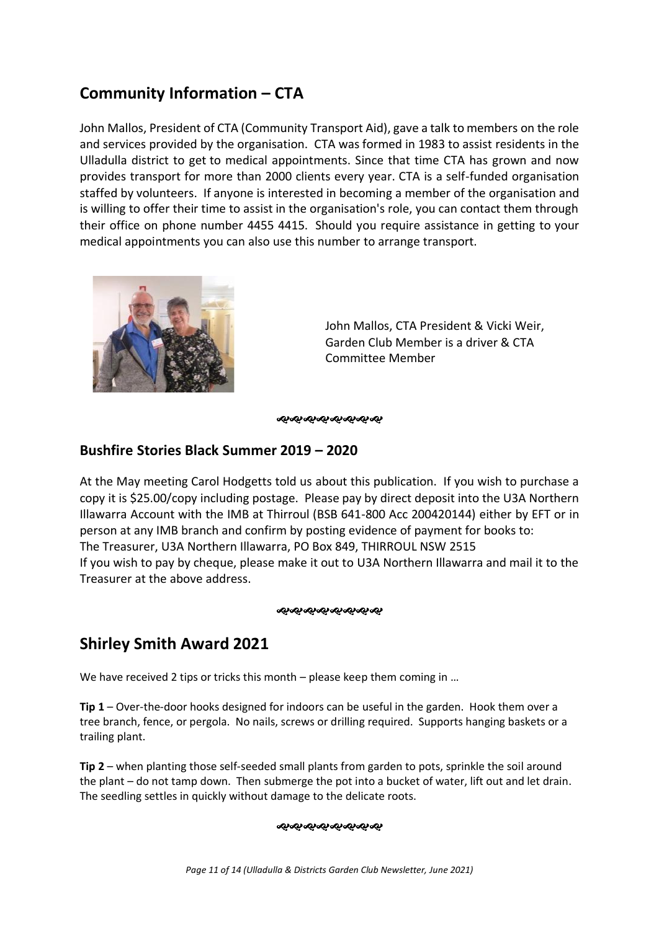## **Community Information – CTA**

John Mallos, President of CTA (Community Transport Aid), gave a talk to members on the role and services provided by the organisation. CTA was formed in 1983 to assist residents in the Ulladulla district to get to medical appointments. Since that time CTA has grown and now provides transport for more than 2000 clients every year. CTA is a self-funded organisation staffed by volunteers. If anyone is interested in becoming a member of the organisation and is willing to offer their time to assist in the organisation's role, you can contact them through their office on phone number 4455 4415. Should you require assistance in getting to your medical appointments you can also use this number to arrange transport.



John Mallos, CTA President & Vicki Weir, Garden Club Member is a driver & CTA Committee Member

ઌ૰ઌ૰ઌ૰ઌ૰ઌ૰ઌ૰ઌ

## **Bushfire Stories Black Summer 2019 – 2020**

At the May meeting Carol Hodgetts told us about this publication. If you wish to purchase a copy it is \$25.00/copy including postage. Please pay by direct deposit into the U3A Northern Illawarra Account with the IMB at Thirroul (BSB 641-800 Acc 200420144) either by EFT or in person at any IMB branch and confirm by posting evidence of payment for books to: The Treasurer, U3A Northern Illawarra, PO Box 849, THIRROUL NSW 2515 If you wish to pay by cheque, please make it out to U3A Northern Illawarra and mail it to the Treasurer at the above address.

#### ೲೲೲೲೲೲೲೲೲ

## **Shirley Smith Award 2021**

We have received 2 tips or tricks this month – please keep them coming in ...

**Tip 1** – Over-the-door hooks designed for indoors can be useful in the garden. Hook them over a tree branch, fence, or pergola. No nails, screws or drilling required. Supports hanging baskets or a trailing plant.

**Tip 2** – when planting those self-seeded small plants from garden to pots, sprinkle the soil around the plant – do not tamp down. Then submerge the pot into a bucket of water, lift out and let drain. The seedling settles in quickly without damage to the delicate roots.

#### ઌ૰ઌ૰ઌ૰ઌ૰ઌ૰ઌ૰ઌ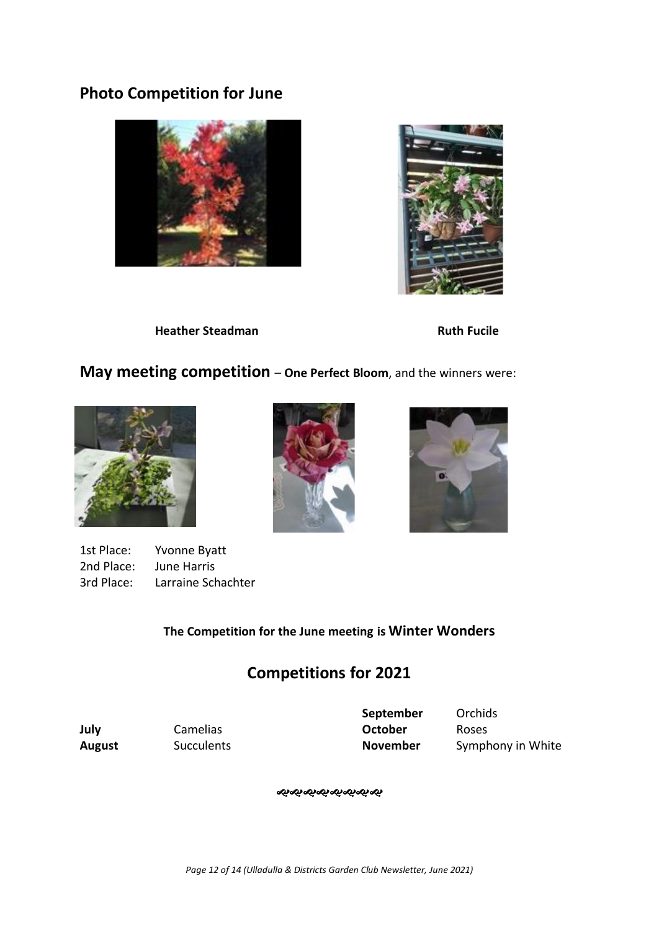## **Photo Competition for June**





**Heather Steadman Ruth Ruth Ruth Ruth Ruth Ruth** 

## **May meeting competition** – **One Perfect Bloom**, and the winners were:







1st Place: Yvonne Byatt 2nd Place: June Harris 3rd Place: Larraine Schachter

## **The Competition for the June meeting is Winter Wonders**

## **Competitions for 2021**

**September** Orchids **July** Camelias **Camelias October** Roses

**August** Succulents **November** Symphony in White

જાજાજાજાજાજાજાજા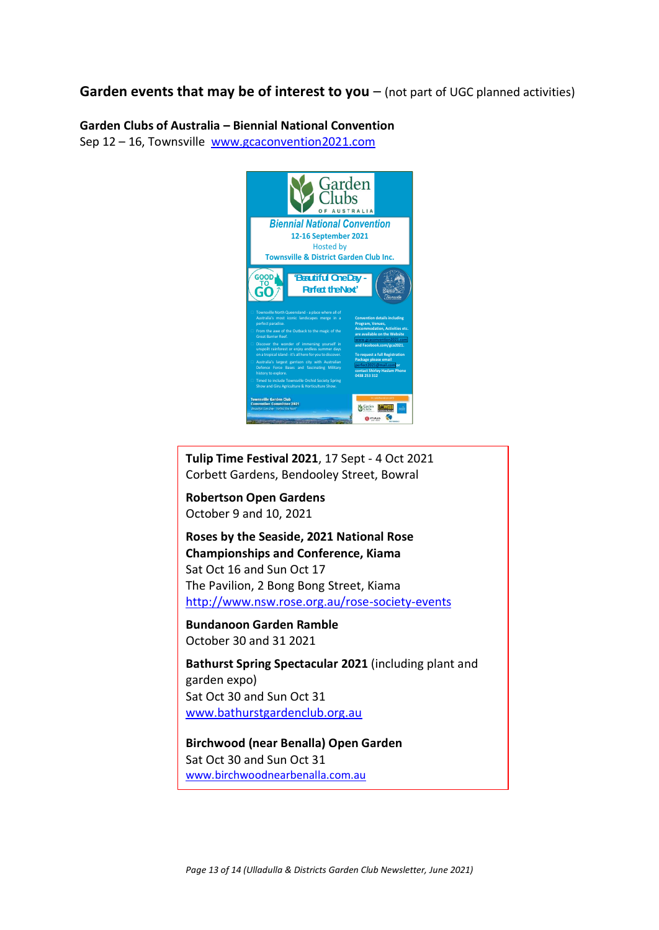## **Garden events that may be of interest to you** – (not part of UGC planned activities)

# **Garden Clubs of Australia – Biennial National Convention**

Sep 12 – 16, Townsville [www.gcaconvention2021.com](http://www.gcaconvention2021.com/)



**Tulip Time Festival 2021**, 17 Sept - 4 Oct 2021 Corbett Gardens, Bendooley Street, Bowral

**Robertson Open Gardens** October 9 and 10, 2021

**Roses by the Seaside, 2021 National Rose Championships and Conference, Kiama** Sat Oct 16 and Sun Oct 17 The Pavilion, 2 Bong Bong Street, Kiama <http://www.nsw.rose.org.au/rose-society-events>

**Bundanoon Garden Ramble** October 30 and 31 2021

**Bathurst Spring Spectacular 2021** (including plant and garden expo) Sat Oct 30 and Sun Oct 31 [www.bathurstgardenclub.org.au](http://www.bathurstgardenclub.org.au/)

**Birchwood (near Benalla) Open Garden** Sat Oct 30 and Sun Oct 31 [www.birchwoodnearbenalla.com.au](http://www.birchwoodnearbenalla.com.au/)